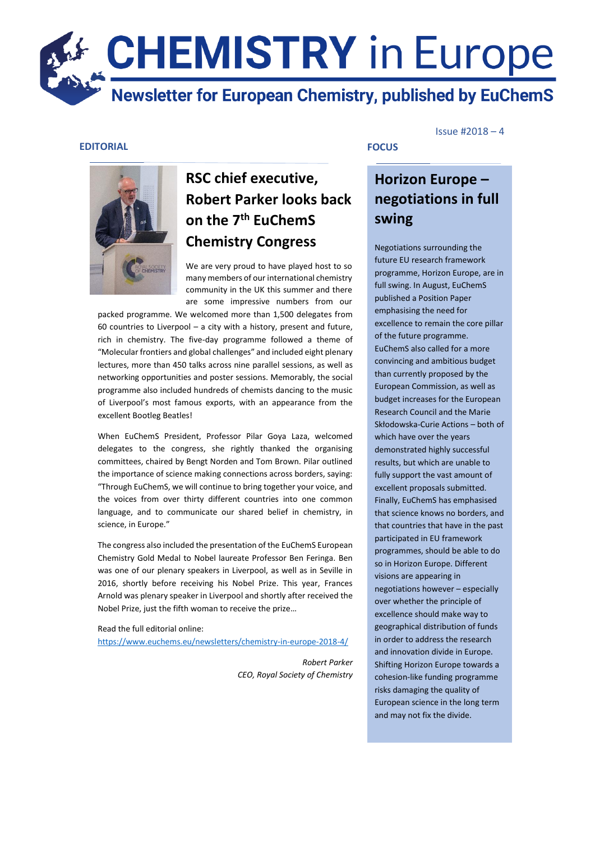# **CHEMISTRY** in Europe Newsletter for European Chemistry, published by EuChemS

### **EDITORIAL**



# **RSC chief executive, Robert Parker looks back on the 7th EuChemS Chemistry Congress**

We are very proud to have played host to so many members of our international chemistry community in the UK this summer and there are some impressive numbers from our

packed programme. We welcomed more than 1,500 delegates from packed programme. 60 countries to Liverpool – a city with a history, present and future, rich in chemistry. The five-day programme followed a theme of "Molecular frontiers and global challenges" and included eight plenary lectures, more than 450 talks across nine parallel sessions, as well as networking opportunities and poster sessions. Memorably, the social programme also included hundreds of chemists dancing to the music of Liverpool's most famous exports, with an appearance from the excellent Bootleg Beatles!

When EuChemS President, Professor Pilar Goya Laza, welcomed delegates to the congress, she rightly thanked the organising committees, chaired by Bengt Norden and Tom Brown. Pilar outlined the importance of science making connections across borders, saying: "Through EuChemS, we will continue to bring together your voice, and the voices from over thirty different countries into one common language, and to communicate our shared belief in chemistry, in science, in Europe."

The congress also included the presentation of the EuChemS European Chemistry Gold Medal to Nobel laureate Professor Ben Feringa. Ben was one of our plenary speakers in Liverpool, as well as in Seville in 2016, shortly before receiving his Nobel Prize. This year, Frances Arnold was plenary speaker in Liverpool and shortly after received the Nobel Prize, just the fifth woman to receive the prize…

Read the full editorial online: <https://www.euchems.eu/newsletters/chemistry-in-europe-2018-4/>

> *Robert Parker CEO, Royal Society of Chemistry*

#### Issue #2018 – 4

# **Horizon Europe – negotiations in full swing**

**FOCUS**

Negotiations surrounding the future EU research framework programme, Horizon Europe, are in full swing. In August, EuChemS published a Position Paper emphasising the need for excellence to remain the core pillar of the future programme. EuChemS also called for a more convincing and ambitious budget than currently proposed by the European Commission, as well as budget increases for the European Research Council and the Marie Skłodowska-Curie Actions – both of which have over the years demonstrated highly successful results, but which are unable to fully support the vast amount of excellent proposals submitted. Finally, EuChemS has emphasised that science knows no borders, and that countries that have in the past participated in EU framework programmes, should be able to do so in Horizon Europe. Different visions are appearing in negotiations however – especially over whether the principle of excellence should make way to geographical distribution of funds in order to address the research and innovation divide in Europe. Shifting Horizon Europe towards a cohesion-like funding programme risks damaging the quality of European science in the long term and may not fix the divide.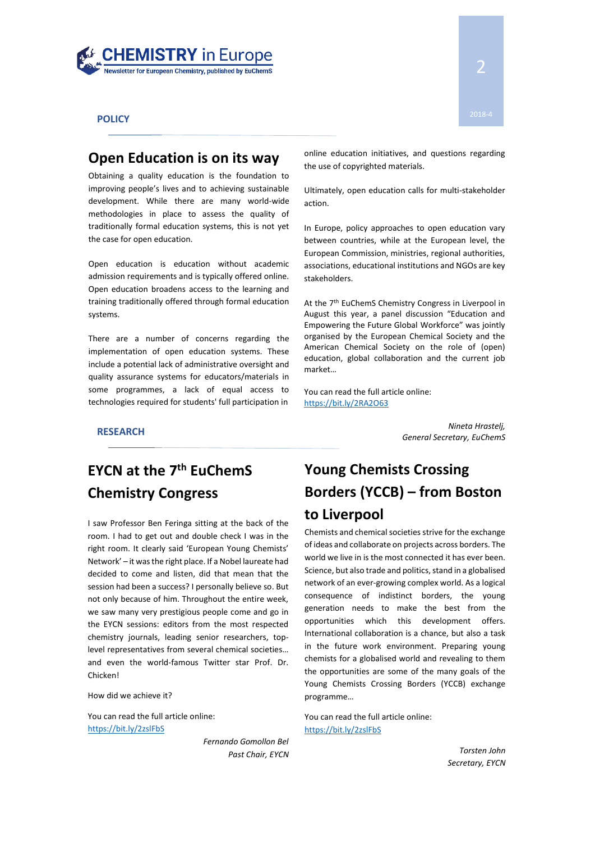

**POLICY**

### **Open Education is on its way**

Obtaining a quality education is the foundation to improving people's lives and to achieving sustainable development. While there are many world-wide methodologies in place to assess the quality of traditionally formal education systems, this is not yet the case for open education.

Open education is education without academic admission requirements and is typically offered online. Open education broadens access to the learning and training traditionally offered through formal education systems.

There are a number of concerns regarding the implementation of open education systems. These include a potential lack of administrative oversight and quality assurance systems for educators/materials in some programmes, a lack of equal access to technologies required for students' full participation in online education initiatives, and questions regarding the use of copyrighted materials.

Ultimately, open education calls for multi-stakeholder action.

In Europe, policy approaches to open education vary between countries, while at the European level, the European Commission, ministries, regional authorities, associations, educational institutions and NGOs are key stakeholders.

At the 7<sup>th</sup> EuChemS Chemistry Congress in Liverpool in August this year, a panel discussion "Education and Empowering the Future Global Workforce" was jointly organised by the European Chemical Society and the American Chemical Society on the role of (open) education, global collaboration and the current job market…

You can read the full article online: <https://bit.ly/2RA2O63>

*Nineta Hrastelj, General Secretary, EuChemS* **RESEARCH**

# **EYCN at the 7th EuChemS Chemistry Congress**

I saw Professor Ben Feringa sitting at the back of the room. I had to get out and double check I was in the right room. It clearly said 'European Young Chemists' Network' – it was the right place. If a Nobel laureate had decided to come and listen, did that mean that the session had been a success? I personally believe so. But not only because of him. Throughout the entire week, we saw many very prestigious people come and go in the EYCN sessions: editors from the most respected chemistry journals, leading senior researchers, toplevel representatives from several chemical societies… and even the world-famous Twitter star Prof. Dr. Chicken!

How did we achieve it?

You can read the full article online: <https://bit.ly/2zslFbS>

> *Fernando Gomollon Bel Past Chair, EYCN*

# **Young Chemists Crossing Borders (YCCB) – from Boston to Liverpool**

Chemists and chemical societies strive for the exchange of ideas and collaborate on projects across borders. The world we live in is the most connected it has ever been. Science, but also trade and politics, stand in a globalised network of an ever-growing complex world. As a logical consequence of indistinct borders, the young generation needs to make the best from the opportunities which this development offers. International collaboration is a chance, but also a task in the future work environment. Preparing young chemists for a globalised world and revealing to them the opportunities are some of the many goals of the Young Chemists Crossing Borders (YCCB) exchange programme…

You can read the full article online: <https://bit.ly/2zslFbS>

> *Torsten John Secretary, EYCN*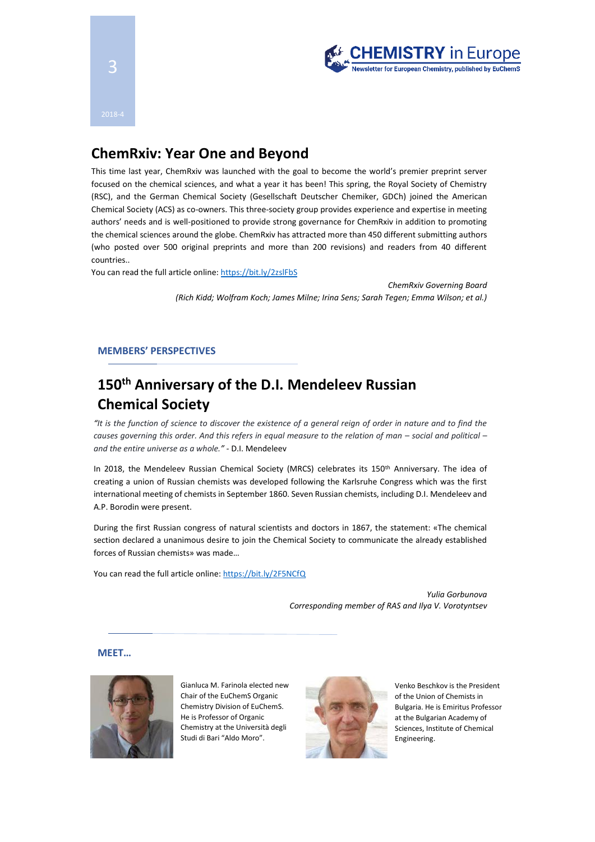

# **ChemRxiv: Year One and Beyond**

This time last year, ChemRxiv was launched with the goal to become the world's premier preprint server focused on the chemical sciences, and what a year it has been! This spring, the Royal Society of Chemistry (RSC), and the German Chemical Society (Gesellschaft Deutscher Chemiker, GDCh) joined the American Chemical Society (ACS) as co-owners. This three-society group provides experience and expertise in meeting authors' needs and is well-positioned to provide strong governance for ChemRxiv in addition to promoting the chemical sciences around the globe. ChemRxiv has attracted more than 450 different submitting authors (who posted over 500 original preprints and more than 200 revisions) and readers from 40 different countries..

You can read the full article online:<https://bit.ly/2zslFbS>

*ChemRxiv Governing Board (Rich Kidd; Wolfram Koch; James Milne; Irina Sens; Sarah Tegen; Emma Wilson; et al.)*

#### **MEMBERS' PERSPECTIVES**

# **150th Anniversary of the D.I. Mendeleev Russian Chemical Society**

*"It is the function of science to discover the existence of a general reign of order in nature and to find the causes governing this order. And this refers in equal measure to the relation of man – social and political – and the entire universe as a whole." -* D.I. Mendeleev

In 2018, the Mendeleev Russian Chemical Society (MRCS) celebrates its 150<sup>th</sup> Anniversary. The idea of creating a union of Russian chemists was developed following the Karlsruhe Congress which was the first international meeting of chemists in September 1860. Seven Russian chemists, including D.I. Mendeleev and A.P. Borodin were present.

During the first Russian congress of natural scientists and doctors in 1867, the statement: «The chemical section declared a unanimous desire to join the Chemical Society to communicate the already established forces of Russian chemists» was made…

You can read the full article online[: https://bit.ly/2F5NCfQ](https://bit.ly/2F5NCfQ)

*Yulia Gorbunova Corresponding member of RAS and Ilya V. Vorotyntsev* 

**MEET…**



Gianluca M. Farinola elected new Chair of the EuChemS Organic Chemistry Division of EuChemS. He is Professor of Organic Chemistry at the Università degli Studi di Bari "Aldo Moro".



Venko Beschkov is the President of the Union of Chemists in Bulgaria. He is Emiritus Professor at the Bulgarian Academy of Sciences, Institute of Chemical Engineering.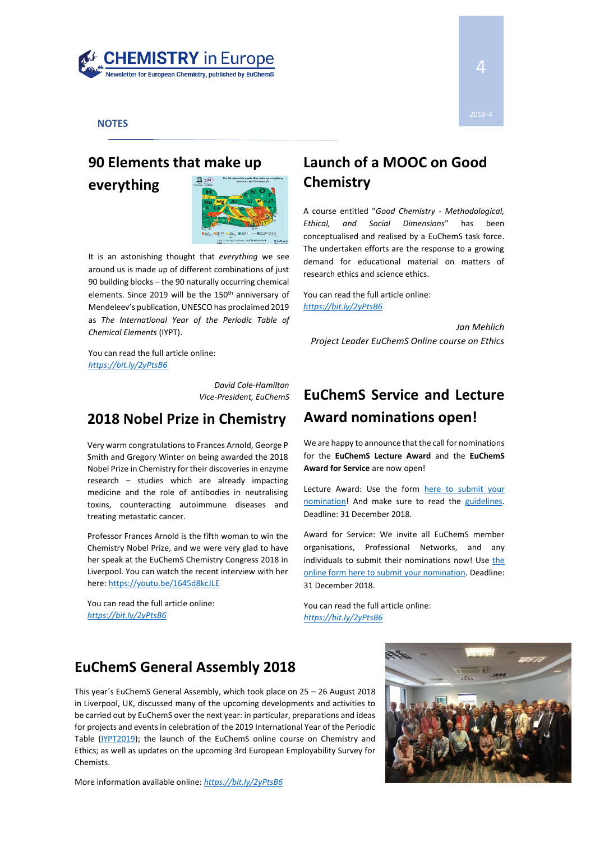

#### **NOTES**

# **90 Elements that make up everything**



It is an astonishing thought that *everything* we see around us is made up of different combinations of just 90 building blocks – the 90 naturally occurring chemical elements. Since 2019 will be the 150<sup>th</sup> anniversary of Mendeleev's publication, UNESCO has proclaimed 2019 as *The International Year of the Periodic Table of Chemical Elements* (IYPT).

You can read the full article online: *<https://bit.ly/2yPtsB6>*

> *David Cole-Hamilton Vice-President, EuChemS*

### **2018 Nobel Prize in Chemistry**

Very warm congratulations to Frances Arnold, George P Smith and Gregory Winter on being awarded the 2018 Nobel Prize in Chemistry for their discoveries in enzyme research – studies which are already impacting medicine and the role of antibodies in neutralising toxins, counteracting autoimmune diseases and treating metastatic cancer.

Professor Frances Arnold is the fifth woman to win the Chemistry Nobel Prize, and we were very glad to have her speak at the EuChemS Chemistry Congress 2018 in Liverpool. You can watch the recent interview with her here[: https://youtu.be/1645d8kcJLE](https://youtu.be/1645d8kcJLE)

You can read the full article online: *<https://bit.ly/2yPtsB6>*

# **Launch of a MOOC on Good Chemistry**

A course entitled "*Good Chemistry - Methodological, Ethical, and Social Dimensions*" has been conceptualised and realised by a EuChemS task force. The undertaken efforts are the response to a growing demand for educational material on matters of research ethics and science ethics.

You can read the full article online: *<https://bit.ly/2yPtsB6>*

*Jan Mehlich Project Leader EuChemS Online course on Ethics*

# **EuChemS Service and Lecture Award nominations open!**

We are happy to announce that the call for nominations for the **EuChemS Lecture Award** and the **EuChemS Award for Service** are now open!

Lecture Award: Use the form [here to submit your](https://www.euchems.eu/awards/lecture-award/)  [nomination!](https://www.euchems.eu/awards/lecture-award/) And make sure to read the [guidelines.](http://www.euchems.eu/wp-content/uploads/2015/06/P-002-Lecture-Award-2016-Approved.pdf) Deadline: 31 December 2018.

Award for Service: We invite all EuChemS member organisations, Professional Networks, and any individuals to submit their nominations now! Use the [online form here to submit your nomination.](https://www.euchems.eu/awards/award-for-service-new1/) Deadline: 31 December 2018.

You can read the full article online: *<https://bit.ly/2yPtsB6>*

## **EuChemS General Assembly 2018**

This year´s EuChemS General Assembly, which took place on 25 – 26 August 2018 in Liverpool, UK, discussed many of the upcoming developments and activities to be carried out by EuChemS over the next year: in particular, preparations and ideas for projects and events in celebration of the 2019 International Year of the Periodic Table [\(IYPT2019\)](http://www.euchems.eu/iypt2019/about/); the launch of the EuChemS online course on Chemistry and Ethics; as well as updates on the upcoming 3rd European Employability Survey for Chemists.

More information available online: *<https://bit.ly/2yPtsB6>*